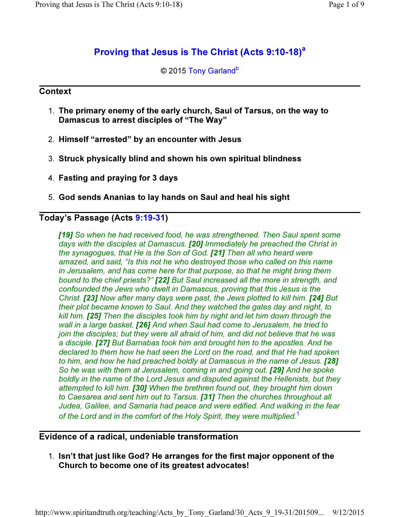# Proving that Jesus is The Christ (Acts 9:10-18)<sup>a</sup>

## © 2015 Tony Garland<sup>b</sup>

### **Context**

- 1. The primary enemy of the early church, Saul of Tarsus, on the way to Damascus to arrest disciples of "The Way"
- 2. Himself "arrested" by an encounter with Jesus
- 3. Struck physically blind and shown his own spiritual blindness
- 4. Fasting and praying for 3 days
- 5. God sends Ananias to lay hands on Saul and heal his sight

## Today's Passage (Acts 9:19-31)

[19] So when he had received food, he was strengthened. Then Saul spent some days with the disciples at Damascus. [20] Immediately he preached the Christ in the synagogues, that He is the Son of God. [21] Then all who heard were amazed, and said, "Is this not he who destroyed those who called on this name in Jerusalem, and has come here for that purpose, so that he might bring them bound to the chief priests?" [22] But Saul increased all the more in strength, and confounded the Jews who dwelt in Damascus, proving that this Jesus is the Christ. **[23]** Now after many days were past, the Jews plotted to kill him. **[24]** But their plot became known to Saul. And they watched the gates day and night, to kill him. **[25]** Then the disciples took him by night and let him down through the wall in a large basket. **[26]** And when Saul had come to Jerusalem, he tried to join the disciples; but they were all afraid of him, and did not believe that he was a disciple. [27] But Barnabas took him and brought him to the apostles. And he declared to them how he had seen the Lord on the road, and that He had spoken to him, and how he had preached boldly at Damascus in the name of Jesus. [28] So he was with them at Jerusalem, coming in and going out. **[29]** And he spoke boldly in the name of the Lord Jesus and disputed against the Hellenists, but they attempted to kill him. **[30]** When the brethren found out, they brought him down to Caesarea and sent him out to Tarsus. [31] Then the churches throughout all Judea, Galilee, and Samaria had peace and were edified. And walking in the fear of the Lord and in the comfort of the Holy Spirit, they were multiplied.<sup>1</sup>

#### Evidence of a radical, undeniable transformation

1. Isn't that just like God? He arranges for the first major opponent of the Church to become one of its greatest advocates!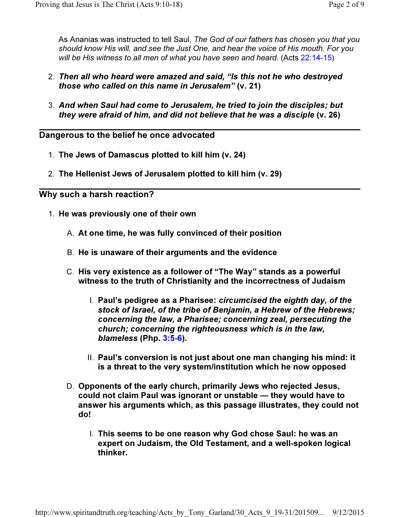As Ananias was instructed to tell Saul, The God of our fathers has chosen you that you should know His will, and see the Just One, and hear the voice of His mouth. For you will be His witness to all men of what you have seen and heard. (Acts 22:14-15)

- 2. Then all who heard were amazed and said, "Is this not he who destroyed those who called on this name in Jerusalem" (v. 21)
- 3. And when Saul had come to Jerusalem, he tried to join the disciples; but they were afraid of him, and did not believe that he was a disciple (v. 26)

Dangerous to the belief he once advocated

- 1. The Jews of Damascus plotted to kill him (v. 24)
- 2. The Hellenist Jews of Jerusalem plotted to kill him (v. 29)

Why such a harsh reaction?

- 1. He was previously one of their own
	- A. At one time, he was fully convinced of their position
	- B. He is unaware of their arguments and the evidence
	- C. His very existence as a follower of "The Way" stands as a powerful witness to the truth of Christianity and the incorrectness of Judaism
		- I. Paul's pedigree as a Pharisee: circumcised the eighth day, of the stock of Israel, of the tribe of Benjamin, a Hebrew of the Hebrews; concerning the law, a Pharisee; concerning zeal, persecuting the church; concerning the righteousness which is in the law, blameless (Php. 3:5-6).
		- II. Paul's conversion is not just about one man changing his mind: it is a threat to the very system/institution which he now opposed
	- D. Opponents of the early church, primarily Jews who rejected Jesus, could not claim Paul was ignorant or unstable — they would have to answer his arguments which, as this passage illustrates, they could not do!
		- I. This seems to be one reason why God chose Saul: he was an expert on Judaism, the Old Testament, and a well-spoken logical thinker.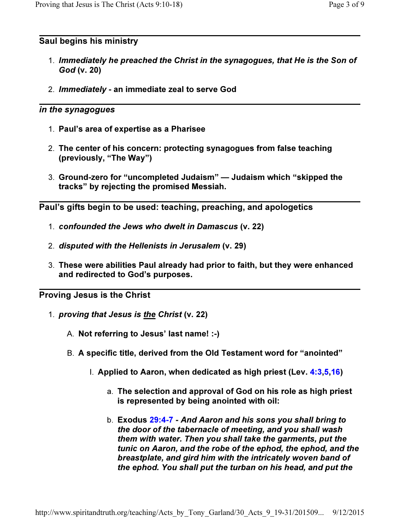## Saul begins his ministry

- 1. Immediately he preached the Christ in the synagogues, that He is the Son of God (v. 20)
- 2. Immediately an immediate zeal to serve God

## in the synagogues

- 1. Paul's area of expertise as a Pharisee
- 2. The center of his concern: protecting synagogues from false teaching (previously, "The Way")
- 3. Ground-zero for "uncompleted Judaism" Judaism which "skipped the tracks" by rejecting the promised Messiah.

Paul's gifts begin to be used: teaching, preaching, and apologetics

- 1. confounded the Jews who dwelt in Damascus (v. 22)
- 2. disputed with the Hellenists in Jerusalem (v. 29)
- 3. These were abilities Paul already had prior to faith, but they were enhanced and redirected to God's purposes.

Proving Jesus is the Christ

- 1. *proving that Jesus is the Christ* (v. 22)
	- A. Not referring to Jesus' last name! :-)
	- B. A specific title, derived from the Old Testament word for "anointed"
		- I. Applied to Aaron, when dedicated as high priest (Lev. 4:3,5,16)
			- a. The selection and approval of God on his role as high priest is represented by being anointed with oil:
			- b. Exodus 29:4-7 And Aaron and his sons you shall bring to the door of the tabernacle of meeting, and you shall wash them with water. Then you shall take the garments, put the tunic on Aaron, and the robe of the ephod, the ephod, and the breastplate, and gird him with the intricately woven band of the ephod. You shall put the turban on his head, and put the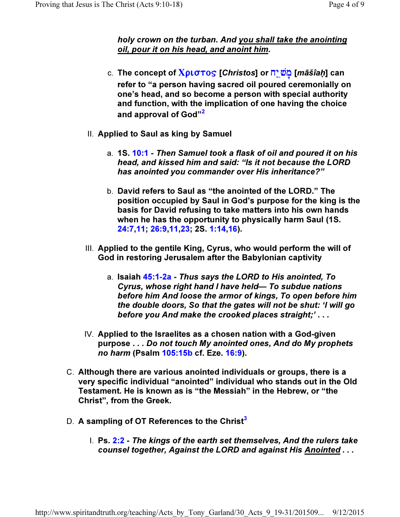## holy crown on the turban. And you shall take the anointing oil, pour it on his head, and anoint him.

- c. The concept of **Xριστος [Christos] or <u>ה</u> (māšîaḥ]** can refer to "a person having sacred oil poured ceremonially on one's head, and so become a person with special authority and function, with the implication of one having the choice and approval of God"<sup>2</sup>
- II. Applied to Saul as king by Samuel
	- a. 1S. 10:1 Then Samuel took a flask of oil and poured it on his head, and kissed him and said: "Is it not because the LORD has anointed you commander over His inheritance?"
	- b. David refers to Saul as "the anointed of the LORD." The position occupied by Saul in God's purpose for the king is the basis for David refusing to take matters into his own hands when he has the opportunity to physically harm Saul (1S. 24:7,11; 26:9,11,23; 2S. 1:14,16).
- III. Applied to the gentile King, Cyrus, who would perform the will of God in restoring Jerusalem after the Babylonian captivity
	- a. Isaiah 45:1-2a Thus says the LORD to His anointed, To Cyrus, whose right hand I have held— To subdue nations before him And loose the armor of kings, To open before him the double doors, So that the gates will not be shut: 'I will go before you And make the crooked places straight;' . . .
- IV. Applied to the Israelites as a chosen nation with a God-given purpose . . . Do not touch My anointed ones, And do My prophets no harm (Psalm 105:15b cf. Eze. 16:9).
- C. Although there are various anointed individuals or groups, there is a very specific individual "anointed" individual who stands out in the Old Testament. He is known as is "the Messiah" in the Hebrew, or "the Christ", from the Greek.
- D. A sampling of OT References to the Christ<sup>3</sup>
	- I. Ps. 2:2 The kings of the earth set themselves, And the rulers take counsel together, Against the LORD and against His Anointed . . .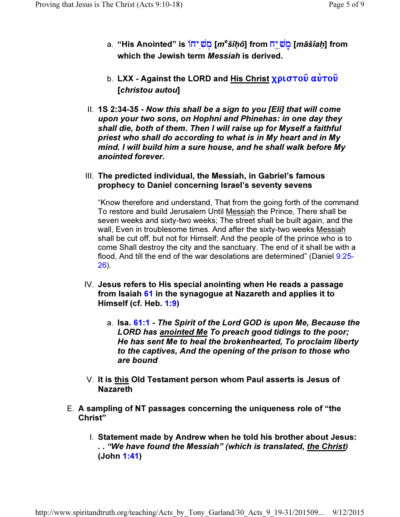- a. "His Anointed" is תَ<mark>ٰשֵּׁ [*m<sup>e</sup>šîḥô*] from מֹשֵׁיָה [*māšîaḥ*] from</mark> which the Jewish term *Messiah* is derived.
- b. LXX Against the LORD and His Christ  $\chi \rho \iota \sigma \tau o \hat{v}$   $\alpha \hat{v} \tau o \hat{v}$ [christou autou]
- II. 1S 2:34-35 Now this shall be a sign to you [Eli] that will come upon your two sons, on Hophni and Phinehas: in one day they shall die, both of them. Then I will raise up for Myself a faithful priest who shall do according to what is in My heart and in My mind. I will build him a sure house, and he shall walk before My anointed forever.
- III. The predicted individual, the Messiah, in Gabriel's famous prophecy to Daniel concerning Israel's seventy sevens

"Know therefore and understand, That from the going forth of the command To restore and build Jerusalem Until Messiah the Prince, There shall be seven weeks and sixty-two weeks; The street shall be built again, and the wall, Even in troublesome times. And after the sixty-two weeks Messiah shall be cut off, but not for Himself; And the people of the prince who is to come Shall destroy the city and the sanctuary. The end of it shall be with a flood, And till the end of the war desolations are determined" (Daniel 9:25- 26).

- IV. Jesus refers to His special anointing when He reads a passage from Isaiah 61 in the synagogue at Nazareth and applies it to Himself (cf. Heb. 1:9)
	- a. Isa. 61:1 The Spirit of the Lord GOD is upon Me, Because the LORD has anointed Me To preach good tidings to the poor; He has sent Me to heal the brokenhearted, To proclaim liberty to the captives, And the opening of the prison to those who are bound
- V. It is this Old Testament person whom Paul asserts is Jesus of Nazareth
- E. A sampling of NT passages concerning the uniqueness role of "the Christ"
	- I. Statement made by Andrew when he told his brother about Jesus: . . "We have found the Messiah" (which is translated, the Christ) (John 1:41)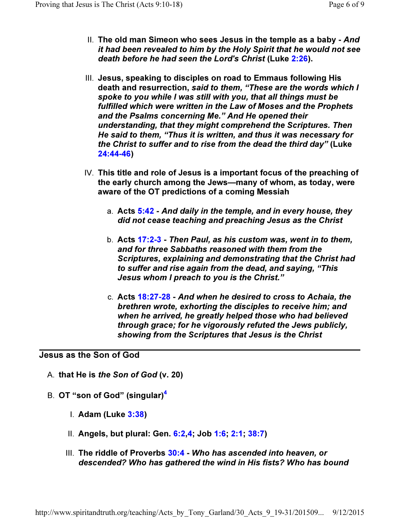- II. The old man Simeon who sees Jesus in the temple as a baby And it had been revealed to him by the Holy Spirit that he would not see death before he had seen the Lord's Christ (Luke 2:26).
- III. Jesus, speaking to disciples on road to Emmaus following His death and resurrection, said to them, "These are the words which I spoke to you while I was still with you, that all things must be fulfilled which were written in the Law of Moses and the Prophets and the Psalms concerning Me." And He opened their understanding, that they might comprehend the Scriptures. Then He said to them, "Thus it is written, and thus it was necessary for the Christ to suffer and to rise from the dead the third day" (Luke 24:44-46)
- IV. This title and role of Jesus is a important focus of the preaching of the early church among the Jews—many of whom, as today, were aware of the OT predictions of a coming Messiah
	- a. Acts 5:42 And daily in the temple, and in every house, they did not cease teaching and preaching Jesus as the Christ
	- b. Acts 17:2-3 Then Paul, as his custom was, went in to them, and for three Sabbaths reasoned with them from the Scriptures, explaining and demonstrating that the Christ had to suffer and rise again from the dead, and saying, "This Jesus whom I preach to you is the Christ."
	- c. Acts 18:27-28 And when he desired to cross to Achaia, the brethren wrote, exhorting the disciples to receive him; and when he arrived, he greatly helped those who had believed through grace; for he vigorously refuted the Jews publicly, showing from the Scriptures that Jesus is the Christ

### Jesus as the Son of God

- A. that He is the Son of God (v. 20)
- B. OT "son of God" (singular)<sup>4</sup>
	- I. Adam (Luke 3:38)
	- II. Angels, but plural: Gen. 6:2,4; Job 1:6; 2:1; 38:7)
	- III. The riddle of Proverbs 30:4 Who has ascended into heaven, or descended? Who has gathered the wind in His fists? Who has bound

http://www.spiritandtruth.org/teaching/Acts\_by\_Tony\_Garland/30\_Acts\_9\_19-31/201509... 9/12/2015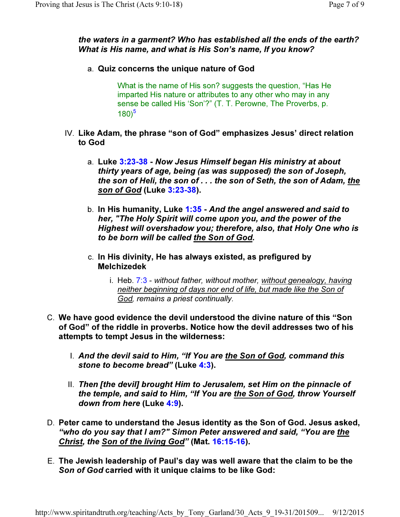## the waters in a garment? Who has established all the ends of the earth? What is His name, and what is His Son's name, If you know?

a. Quiz concerns the unique nature of God

What is the name of His son? suggests the question, "Has He imparted His nature or attributes to any other who may in any sense be called His 'Son'?" (T. T. Perowne, The Proverbs, p.  $(180)^5$ 

- IV. Like Adam, the phrase "son of God" emphasizes Jesus' direct relation to God
	- a. Luke 3:23-38 Now Jesus Himself began His ministry at about thirty years of age, being (as was supposed) the son of Joseph, the son of Heli, the son of . . . the son of Seth, the son of Adam, the son of God (Luke 3:23-38).
	- b. In His humanity, Luke 1:35 And the angel answered and said to her, "The Holy Spirit will come upon you, and the power of the Highest will overshadow you; therefore, also, that Holy One who is to be born will be called the Son of God.
	- c. In His divinity, He has always existed, as prefigured by Melchizedek
		- i. Heb.  $7:3$  without father, without mother, without genealogy, having neither beginning of days nor end of life, but made like the Son of God, remains a priest continually.
- C. We have good evidence the devil understood the divine nature of this "Son of God" of the riddle in proverbs. Notice how the devil addresses two of his attempts to tempt Jesus in the wilderness:
	- I. And the devil said to Him, "If You are the Son of God, command this stone to become bread" (Luke 4:3).
	- II. Then [the devil] brought Him to Jerusalem, set Him on the pinnacle of the temple, and said to Him, "If You are the Son of God, throw Yourself down from here (Luke 4:9).
- D. Peter came to understand the Jesus identity as the Son of God. Jesus asked, "who do you say that I am?" Simon Peter answered and said, "You are the Christ, the Son of the living God" (Mat. 16:15-16).
- E. The Jewish leadership of Paul's day was well aware that the claim to be the Son of God carried with it unique claims to be like God: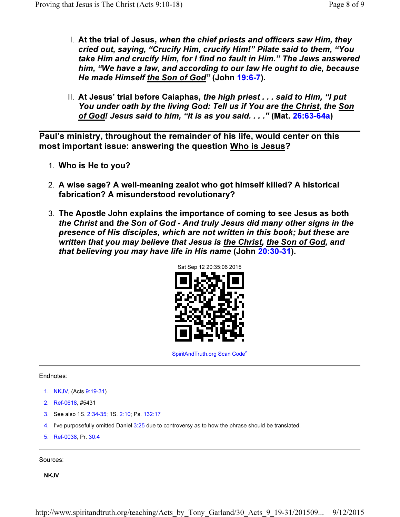- I. At the trial of Jesus, when the chief priests and officers saw Him, they cried out, saying, "Crucify Him, crucify Him!" Pilate said to them, "You take Him and crucify Him, for I find no fault in Him." The Jews answered him, "We have a law, and according to our law He ought to die, because He made Himself the Son of God" (John 19:6-7).
- II. At Jesus' trial before Caiaphas, the high priest  $\ldots$  said to Him, "I put You under oath by the living God: Tell us if You are the Christ, the Son of God! Jesus said to him, "It is as you said. . . ." (Mat. 26:63-64a)

Paul's ministry, throughout the remainder of his life, would center on this most important issue: answering the question Who is Jesus?

- 1. Who is He to you?
- 2. A wise sage? A well-meaning zealot who got himself killed? A historical fabrication? A misunderstood revolutionary?
- 3. The Apostle John explains the importance of coming to see Jesus as both the Christ and the Son of God - And truly Jesus did many other signs in the presence of His disciples, which are not written in this book; but these are written that you may believe that Jesus is the Christ, the Son of God, and that believing you may have life in His name (John 20:30-31).



SpiritAndTruth.org Scan Code<sup>c</sup>

#### Endnotes:

- 1. NKJV, (Acts 9:19-31)
- 2. Ref-0618, #5431
- 3. See also 1S. 2:34-35; 1S. 2:10; Ps. 132:17
- 4. I've purposefully omitted Daniel 3:25 due to controversy as to how the phrase should be translated.
- 5. Ref-0038, Pr. 30:4

Sources:

**NKJV**